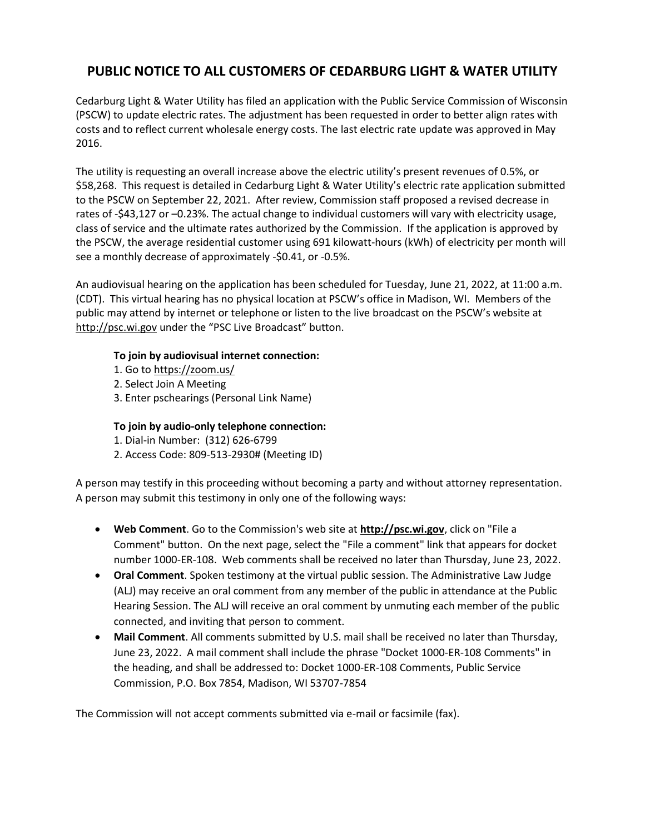## **PUBLIC NOTICE TO ALL CUSTOMERS OF CEDARBURG LIGHT & WATER UTILITY**

Cedarburg Light & Water Utility has filed an application with the Public Service Commission of Wisconsin (PSCW) to update electric rates. The adjustment has been requested in order to better align rates with costs and to reflect current wholesale energy costs. The last electric rate update was approved in May 2016.

The utility is requesting an overall increase above the electric utility's present revenues of 0.5%, or \$58,268. This request is detailed in Cedarburg Light & Water Utility's electric rate application submitted to the PSCW on September 22, 2021. After review, Commission staff proposed a revised decrease in rates of -\$43,127 or –0.23%. The actual change to individual customers will vary with electricity usage, class of service and the ultimate rates authorized by the Commission. If the application is approved by the PSCW, the average residential customer using 691 kilowatt-hours (kWh) of electricity per month will see a monthly decrease of approximately -\$0.41, or -0.5%.

An audiovisual hearing on the application has been scheduled for Tuesday, June 21, 2022, at 11:00 a.m. (CDT). This virtual hearing has no physical location at PSCW's office in Madison, WI. Members of the public may attend by internet or telephone or listen to the live broadcast on the PSCW's website at [http://psc.wi.gov](http://psc.wi.gov/) under the "PSC Live Broadcast" button.

## **To join by audiovisual internet connection:**

- 1. Go to https://zoom.us/
- 2. Select Join A Meeting
- 3. Enter pschearings (Personal Link Name)

## **To join by audio-only telephone connection:**

- 1. Dial-in Number: (312) 626-6799
- 2. Access Code: 809-513-2930# (Meeting ID)

A person may testify in this proceeding without becoming a party and without attorney representation. A person may submit this testimony in only one of the following ways:

- **Web Comment**. Go to the Commission's web site at **[http://psc.wi.gov](http://psc.wi.gov/)**, click on "File a Comment" button. On the next page, select the "File a comment" link that appears for docket number 1000-ER-108. Web comments shall be received no later than Thursday, June 23, 2022.
- **Oral Comment**. Spoken testimony at the virtual public session. The Administrative Law Judge (ALJ) may receive an oral comment from any member of the public in attendance at the Public Hearing Session. The ALJ will receive an oral comment by unmuting each member of the public connected, and inviting that person to comment.
- **Mail Comment**. All comments submitted by U.S. mail shall be received no later than Thursday, June 23, 2022. A mail comment shall include the phrase "Docket 1000-ER-108 Comments" in the heading, and shall be addressed to: Docket 1000-ER-108 Comments, Public Service Commission, P.O. Box 7854, Madison, WI 53707-7854

The Commission will not accept comments submitted via e-mail or facsimile (fax).